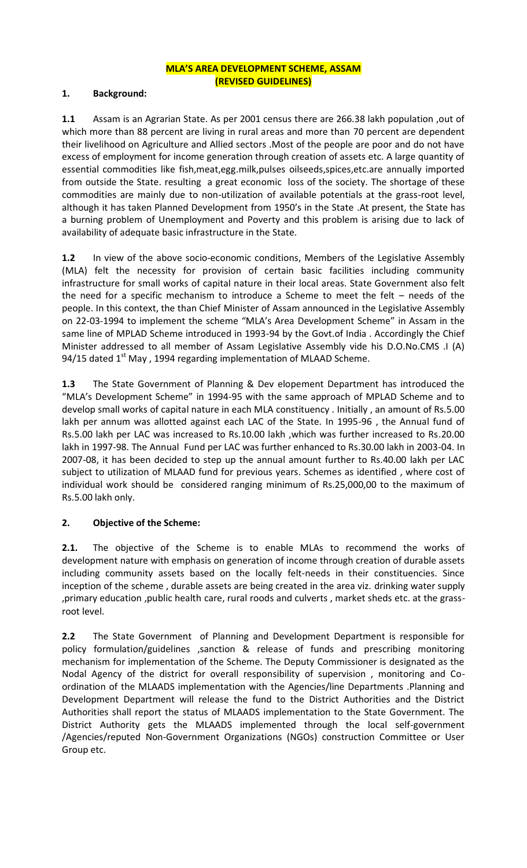## **MLA'S AREA DEVELOPMENT SCHEME, ASSAM (REVISED GUIDELINES)**

### **1. Background:**

**1.1** Assam is an Agrarian State. As per 2001 census there are 266.38 lakh population ,out of which more than 88 percent are living in rural areas and more than 70 percent are dependent their livelihood on Agriculture and Allied sectors .Most of the people are poor and do not have excess of employment for income generation through creation of assets etc. A large quantity of essential commodities like fish,meat,egg.milk,pulses oilseeds,spices,etc.are annually imported from outside the State. resulting a great economic loss of the society. The shortage of these commodities are mainly due to non-utilization of available potentials at the grass-root level, although it has taken Planned Development from 1950's in the State .At present, the State has a burning problem of Unemployment and Poverty and this problem is arising due to lack of availability of adequate basic infrastructure in the State.

**1.2** In view of the above socio-economic conditions, Members of the Legislative Assembly (MLA) felt the necessity for provision of certain basic facilities including community infrastructure for small works of capital nature in their local areas. State Government also felt the need for a specific mechanism to introduce a Scheme to meet the felt – needs of the people. In this context, the than Chief Minister of Assam announced in the Legislative Assembly on 22-03-1994 to implement the scheme "MLA's Area Development Scheme" in Assam in the same line of MPLAD Scheme introduced in 1993-94 by the Govt.of India . Accordingly the Chief Minister addressed to all member of Assam Legislative Assembly vide his D.O.No.CMS .I (A) 94/15 dated  $1<sup>st</sup>$  May, 1994 regarding implementation of MLAAD Scheme.

**1.3** The State Government of Planning & Dev elopement Department has introduced the "MLA's Development Scheme" in 1994-95 with the same approach of MPLAD Scheme and to develop small works of capital nature in each MLA constituency . Initially , an amount of Rs.5.00 lakh per annum was allotted against each LAC of the State. In 1995-96 , the Annual fund of Rs.5.00 lakh per LAC was increased to Rs.10.00 lakh ,which was further increased to Rs.20.00 lakh in 1997-98. The Annual Fund per LAC was further enhanced to Rs.30.00 lakh in 2003-04. In 2007-08, it has been decided to step up the annual amount further to Rs.40.00 lakh per LAC subject to utilization of MLAAD fund for previous years. Schemes as identified , where cost of individual work should be considered ranging minimum of Rs.25,000,00 to the maximum of Rs.5.00 lakh only.

## **2. Objective of the Scheme:**

**2.1.** The objective of the Scheme is to enable MLAs to recommend the works of development nature with emphasis on generation of income through creation of durable assets including community assets based on the locally felt-needs in their constituencies. Since inception of the scheme , durable assets are being created in the area viz. drinking water supply ,primary education ,public health care, rural roods and culverts , market sheds etc. at the grassroot level.

**2.2** The State Government of Planning and Development Department is responsible for policy formulation/guidelines ,sanction & release of funds and prescribing monitoring mechanism for implementation of the Scheme. The Deputy Commissioner is designated as the Nodal Agency of the district for overall responsibility of supervision , monitoring and Coordination of the MLAADS implementation with the Agencies/line Departments .Planning and Development Department will release the fund to the District Authorities and the District Authorities shall report the status of MLAADS implementation to the State Government. The District Authority gets the MLAADS implemented through the local self-government /Agencies/reputed Non-Government Organizations (NGOs) construction Committee or User Group etc.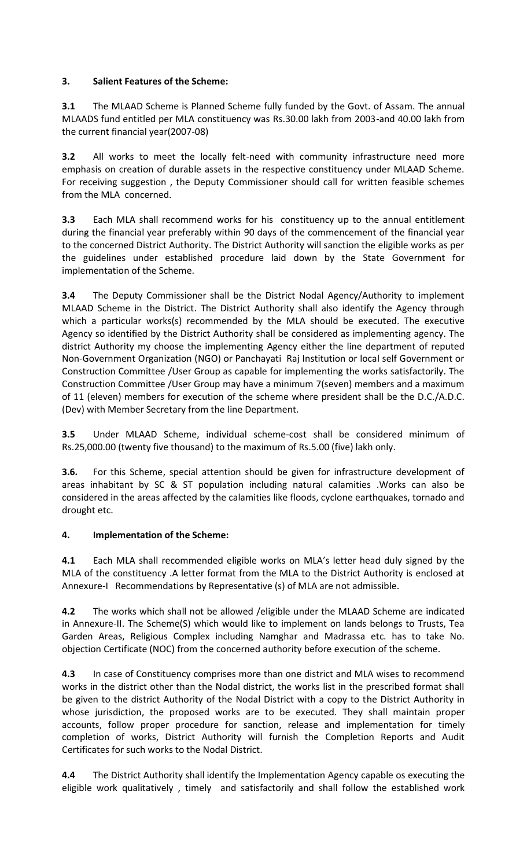## **3. Salient Features of the Scheme:**

**3.1** The MLAAD Scheme is Planned Scheme fully funded by the Govt. of Assam. The annual MLAADS fund entitled per MLA constituency was Rs.30.00 lakh from 2003-and 40.00 lakh from the current financial year(2007-08)

**3.2** All works to meet the locally felt-need with community infrastructure need more emphasis on creation of durable assets in the respective constituency under MLAAD Scheme. For receiving suggestion , the Deputy Commissioner should call for written feasible schemes from the MLA concerned.

**3.3** Each MLA shall recommend works for his constituency up to the annual entitlement during the financial year preferably within 90 days of the commencement of the financial year to the concerned District Authority. The District Authority will sanction the eligible works as per the guidelines under established procedure laid down by the State Government for implementation of the Scheme.

**3.4** The Deputy Commissioner shall be the District Nodal Agency/Authority to implement MLAAD Scheme in the District. The District Authority shall also identify the Agency through which a particular works(s) recommended by the MLA should be executed. The executive Agency so identified by the District Authority shall be considered as implementing agency. The district Authority my choose the implementing Agency either the line department of reputed Non-Government Organization (NGO) or Panchayati Raj Institution or local self Government or Construction Committee /User Group as capable for implementing the works satisfactorily. The Construction Committee /User Group may have a minimum 7(seven) members and a maximum of 11 (eleven) members for execution of the scheme where president shall be the D.C./A.D.C. (Dev) with Member Secretary from the line Department.

**3.5** Under MLAAD Scheme, individual scheme-cost shall be considered minimum of Rs.25,000.00 (twenty five thousand) to the maximum of Rs.5.00 (five) lakh only.

**3.6.** For this Scheme, special attention should be given for infrastructure development of areas inhabitant by SC & ST population including natural calamities .Works can also be considered in the areas affected by the calamities like floods, cyclone earthquakes, tornado and drought etc.

## **4. Implementation of the Scheme:**

**4.1** Each MLA shall recommended eligible works on MLA's letter head duly signed by the MLA of the constituency .A letter format from the MLA to the District Authority is enclosed at Annexure-I Recommendations by Representative (s) of MLA are not admissible.

**4.2** The works which shall not be allowed /eligible under the MLAAD Scheme are indicated in Annexure-II. The Scheme(S) which would like to implement on lands belongs to Trusts, Tea Garden Areas, Religious Complex including Namghar and Madrassa etc. has to take No. objection Certificate (NOC) from the concerned authority before execution of the scheme.

**4.3** In case of Constituency comprises more than one district and MLA wises to recommend works in the district other than the Nodal district, the works list in the prescribed format shall be given to the district Authority of the Nodal District with a copy to the District Authority in whose jurisdiction, the proposed works are to be executed. They shall maintain proper accounts, follow proper procedure for sanction, release and implementation for timely completion of works, District Authority will furnish the Completion Reports and Audit Certificates for such works to the Nodal District.

**4.4** The District Authority shall identify the Implementation Agency capable os executing the eligible work qualitatively , timely and satisfactorily and shall follow the established work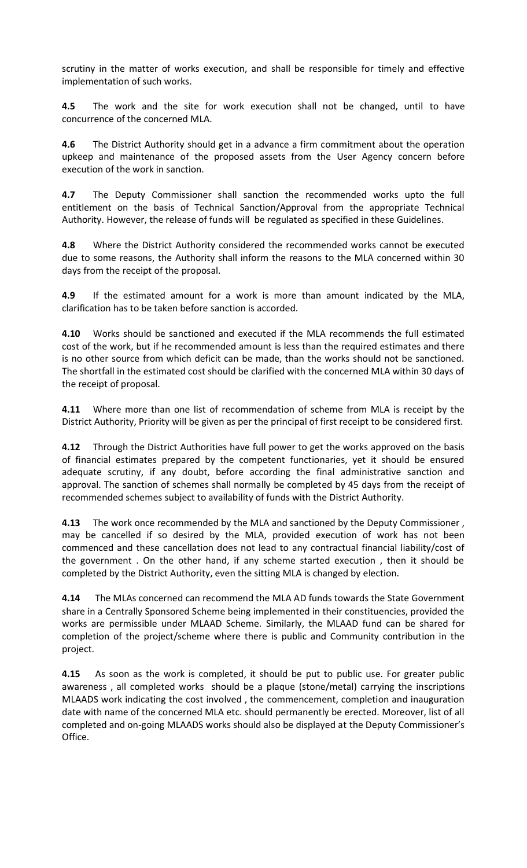scrutiny in the matter of works execution, and shall be responsible for timely and effective implementation of such works.

**4.5** The work and the site for work execution shall not be changed, until to have concurrence of the concerned MLA.

**4.6** The District Authority should get in a advance a firm commitment about the operation upkeep and maintenance of the proposed assets from the User Agency concern before execution of the work in sanction.

**4.7** The Deputy Commissioner shall sanction the recommended works upto the full entitlement on the basis of Technical Sanction/Approval from the appropriate Technical Authority. However, the release of funds will be regulated as specified in these Guidelines.

**4.8** Where the District Authority considered the recommended works cannot be executed due to some reasons, the Authority shall inform the reasons to the MLA concerned within 30 days from the receipt of the proposal.

**4.9** If the estimated amount for a work is more than amount indicated by the MLA, clarification has to be taken before sanction is accorded.

**4.10** Works should be sanctioned and executed if the MLA recommends the full estimated cost of the work, but if he recommended amount is less than the required estimates and there is no other source from which deficit can be made, than the works should not be sanctioned. The shortfall in the estimated cost should be clarified with the concerned MLA within 30 days of the receipt of proposal.

**4.11** Where more than one list of recommendation of scheme from MLA is receipt by the District Authority, Priority will be given as per the principal of first receipt to be considered first.

**4.12** Through the District Authorities have full power to get the works approved on the basis of financial estimates prepared by the competent functionaries, yet it should be ensured adequate scrutiny, if any doubt, before according the final administrative sanction and approval. The sanction of schemes shall normally be completed by 45 days from the receipt of recommended schemes subject to availability of funds with the District Authority.

**4.13** The work once recommended by the MLA and sanctioned by the Deputy Commissioner , may be cancelled if so desired by the MLA, provided execution of work has not been commenced and these cancellation does not lead to any contractual financial liability/cost of the government . On the other hand, if any scheme started execution , then it should be completed by the District Authority, even the sitting MLA is changed by election.

**4.14** The MLAs concerned can recommend the MLA AD funds towards the State Government share in a Centrally Sponsored Scheme being implemented in their constituencies, provided the works are permissible under MLAAD Scheme. Similarly, the MLAAD fund can be shared for completion of the project/scheme where there is public and Community contribution in the project.

**4.15** As soon as the work is completed, it should be put to public use. For greater public awareness , all completed works should be a plaque (stone/metal) carrying the inscriptions MLAADS work indicating the cost involved , the commencement, completion and inauguration date with name of the concerned MLA etc. should permanently be erected. Moreover, list of all completed and on-going MLAADS works should also be displayed at the Deputy Commissioner's Office.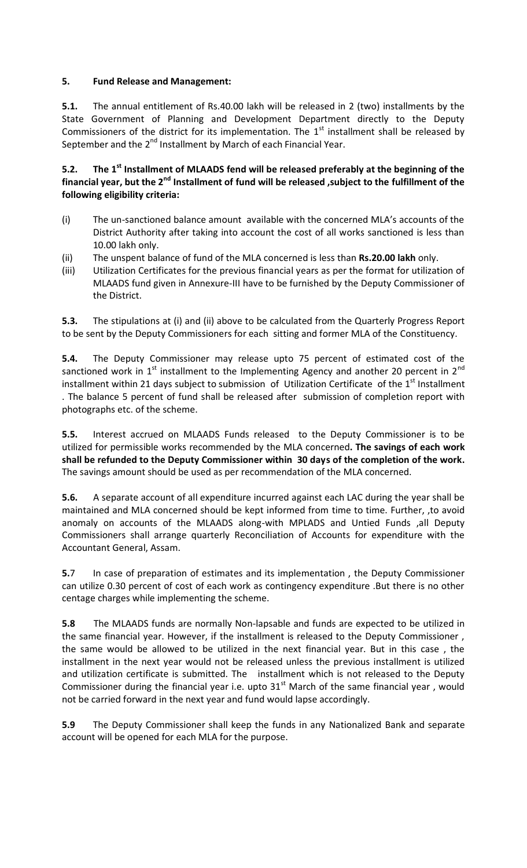## **5. Fund Release and Management:**

**5.1.** The annual entitlement of Rs.40.00 lakh will be released in 2 (two) installments by the State Government of Planning and Development Department directly to the Deputy Commissioners of the district for its implementation. The  $1<sup>st</sup>$  installment shall be released by September and the 2<sup>nd</sup> Installment by March of each Financial Year.

## **5.2. The 1st Installment of MLAADS fend will be released preferably at the beginning of the financial year, but the 2nd Installment of fund will be released ,subject to the fulfillment of the following eligibility criteria:**

- (i) The un-sanctioned balance amount available with the concerned MLA's accounts of the District Authority after taking into account the cost of all works sanctioned is less than 10.00 lakh only.
- (ii) The unspent balance of fund of the MLA concerned is less than **Rs.20.00 lakh** only.
- (iii) Utilization Certificates for the previous financial years as per the format for utilization of MLAADS fund given in Annexure-III have to be furnished by the Deputy Commissioner of the District.

**5.3.** The stipulations at (i) and (ii) above to be calculated from the Quarterly Progress Report to be sent by the Deputy Commissioners for each sitting and former MLA of the Constituency.

**5.4.** The Deputy Commissioner may release upto 75 percent of estimated cost of the sanctioned work in  $1<sup>st</sup>$  installment to the Implementing Agency and another 20 percent in  $2<sup>nd</sup>$ installment within 21 days subject to submission of Utilization Certificate of the  $1<sup>st</sup>$  Installment . The balance 5 percent of fund shall be released after submission of completion report with photographs etc. of the scheme.

**5.5.** Interest accrued on MLAADS Funds released to the Deputy Commissioner is to be utilized for permissible works recommended by the MLA concerned**. The savings of each work shall be refunded to the Deputy Commissioner within 30 days of the completion of the work.** The savings amount should be used as per recommendation of the MLA concerned.

**5.6.** A separate account of all expenditure incurred against each LAC during the year shall be maintained and MLA concerned should be kept informed from time to time. Further, ,to avoid anomaly on accounts of the MLAADS along-with MPLADS and Untied Funds , all Deputy Commissioners shall arrange quarterly Reconciliation of Accounts for expenditure with the Accountant General, Assam.

**5.**7 In case of preparation of estimates and its implementation , the Deputy Commissioner can utilize 0.30 percent of cost of each work as contingency expenditure .But there is no other centage charges while implementing the scheme.

**5.8** The MLAADS funds are normally Non-lapsable and funds are expected to be utilized in the same financial year. However, if the installment is released to the Deputy Commissioner , the same would be allowed to be utilized in the next financial year. But in this case , the installment in the next year would not be released unless the previous installment is utilized and utilization certificate is submitted. The installment which is not released to the Deputy Commissioner during the financial year i.e. upto  $31<sup>st</sup>$  March of the same financial year, would not be carried forward in the next year and fund would lapse accordingly.

**5.9** The Deputy Commissioner shall keep the funds in any Nationalized Bank and separate account will be opened for each MLA for the purpose.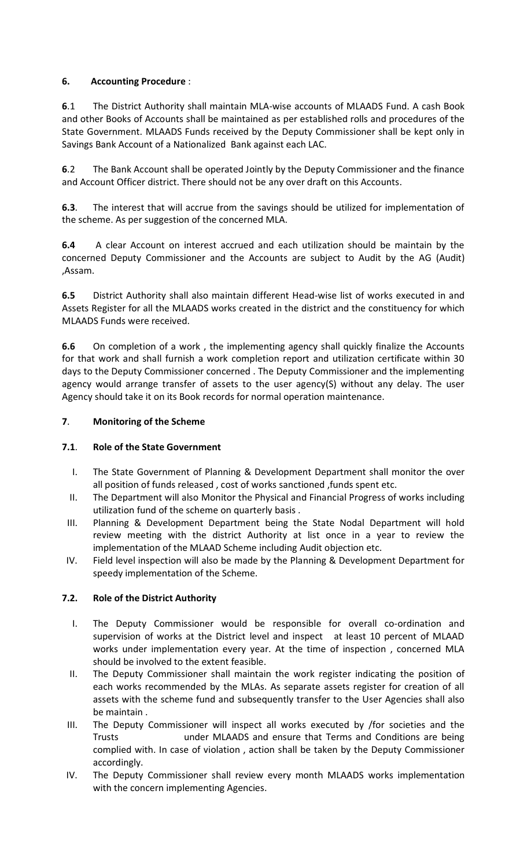## **6. Accounting Procedure** :

**6**.1 The District Authority shall maintain MLA-wise accounts of MLAADS Fund. A cash Book and other Books of Accounts shall be maintained as per established rolls and procedures of the State Government. MLAADS Funds received by the Deputy Commissioner shall be kept only in Savings Bank Account of a Nationalized Bank against each LAC.

**6**.2 The Bank Account shall be operated Jointly by the Deputy Commissioner and the finance and Account Officer district. There should not be any over draft on this Accounts.

**6.3**. The interest that will accrue from the savings should be utilized for implementation of the scheme. As per suggestion of the concerned MLA.

**6.4** A clear Account on interest accrued and each utilization should be maintain by the concerned Deputy Commissioner and the Accounts are subject to Audit by the AG (Audit) ,Assam.

**6.5** District Authority shall also maintain different Head-wise list of works executed in and Assets Register for all the MLAADS works created in the district and the constituency for which MLAADS Funds were received.

**6.6** On completion of a work , the implementing agency shall quickly finalize the Accounts for that work and shall furnish a work completion report and utilization certificate within 30 days to the Deputy Commissioner concerned . The Deputy Commissioner and the implementing agency would arrange transfer of assets to the user agency(S) without any delay. The user Agency should take it on its Book records for normal operation maintenance.

## **7**. **Monitoring of the Scheme**

## **7.1**. **Role of the State Government**

- I. The State Government of Planning & Development Department shall monitor the over all position of funds released , cost of works sanctioned ,funds spent etc.
- II. The Department will also Monitor the Physical and Financial Progress of works including utilization fund of the scheme on quarterly basis .
- III. Planning & Development Department being the State Nodal Department will hold review meeting with the district Authority at list once in a year to review the implementation of the MLAAD Scheme including Audit objection etc.
- IV. Field level inspection will also be made by the Planning & Development Department for speedy implementation of the Scheme.

## **7.2. Role of the District Authority**

- I. The Deputy Commissioner would be responsible for overall co-ordination and supervision of works at the District level and inspect at least 10 percent of MLAAD works under implementation every year. At the time of inspection , concerned MLA should be involved to the extent feasible.
- II. The Deputy Commissioner shall maintain the work register indicating the position of each works recommended by the MLAs. As separate assets register for creation of all assets with the scheme fund and subsequently transfer to the User Agencies shall also be maintain .
- III. The Deputy Commissioner will inspect all works executed by /for societies and the Trusts under MLAADS and ensure that Terms and Conditions are being complied with. In case of violation , action shall be taken by the Deputy Commissioner accordingly.
- IV. The Deputy Commissioner shall review every month MLAADS works implementation with the concern implementing Agencies.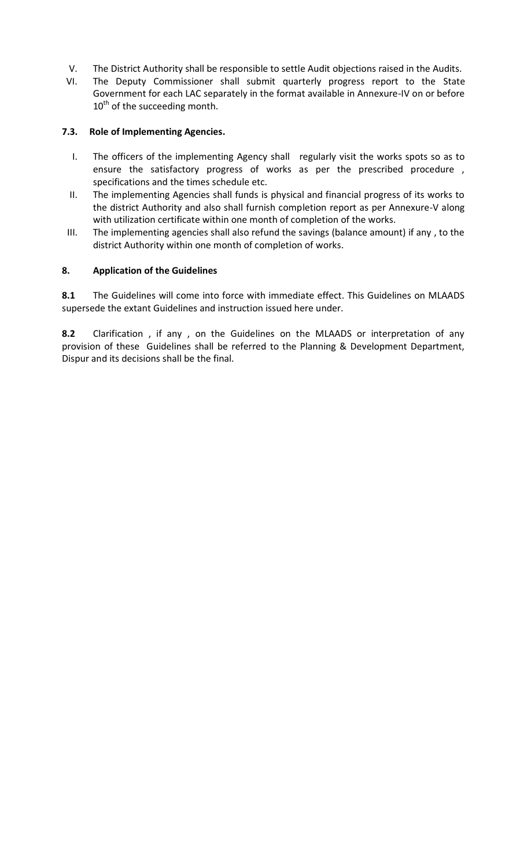- V. The District Authority shall be responsible to settle Audit objections raised in the Audits.
- VI. The Deputy Commissioner shall submit quarterly progress report to the State Government for each LAC separately in the format available in Annexure-IV on or before  $10<sup>th</sup>$  of the succeeding month.

#### **7.3. Role of Implementing Agencies.**

- I. The officers of the implementing Agency shall regularly visit the works spots so as to ensure the satisfactory progress of works as per the prescribed procedure , specifications and the times schedule etc.
- II. The implementing Agencies shall funds is physical and financial progress of its works to the district Authority and also shall furnish completion report as per Annexure-V along with utilization certificate within one month of completion of the works.
- III. The implementing agencies shall also refund the savings (balance amount) if any , to the district Authority within one month of completion of works.

#### **8. Application of the Guidelines**

**8.1** The Guidelines will come into force with immediate effect. This Guidelines on MLAADS supersede the extant Guidelines and instruction issued here under.

**8.2** Clarification , if any , on the Guidelines on the MLAADS or interpretation of any provision of these Guidelines shall be referred to the Planning & Development Department, Dispur and its decisions shall be the final.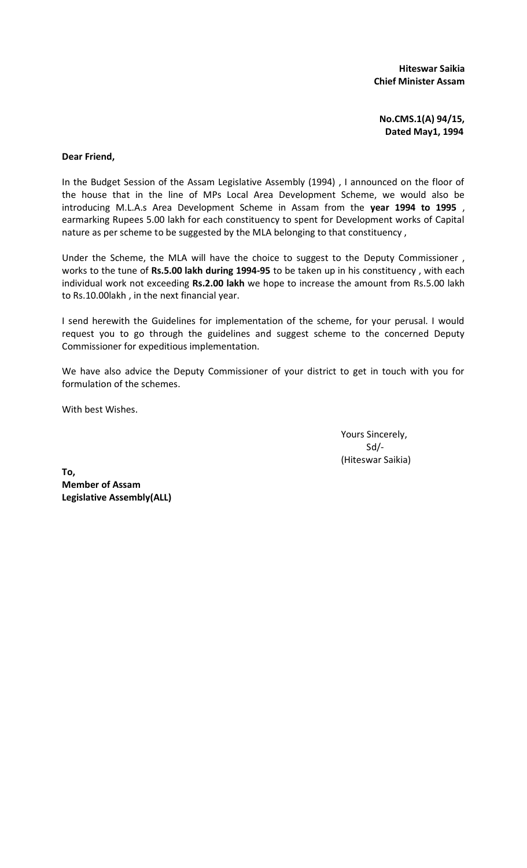**Hiteswar Saikia Chief Minister Assam** 

**No.CMS.1(A) 94/15, Dated May1, 1994**

#### **Dear Friend,**

In the Budget Session of the Assam Legislative Assembly (1994) , I announced on the floor of the house that in the line of MPs Local Area Development Scheme, we would also be introducing M.L.A.s Area Development Scheme in Assam from the **year 1994 to 1995** , earmarking Rupees 5.00 lakh for each constituency to spent for Development works of Capital nature as per scheme to be suggested by the MLA belonging to that constituency ,

Under the Scheme, the MLA will have the choice to suggest to the Deputy Commissioner , works to the tune of **Rs.5.00 lakh during 1994-95** to be taken up in his constituency , with each individual work not exceeding **Rs.2.00 lakh** we hope to increase the amount from Rs.5.00 lakh to Rs.10.00lakh , in the next financial year.

I send herewith the Guidelines for implementation of the scheme, for your perusal. I would request you to go through the guidelines and suggest scheme to the concerned Deputy Commissioner for expeditious implementation.

We have also advice the Deputy Commissioner of your district to get in touch with you for formulation of the schemes.

With best Wishes.

Yours Sincerely, Sd/- (Hiteswar Saikia)

**To, Member of Assam Legislative Assembly(ALL)**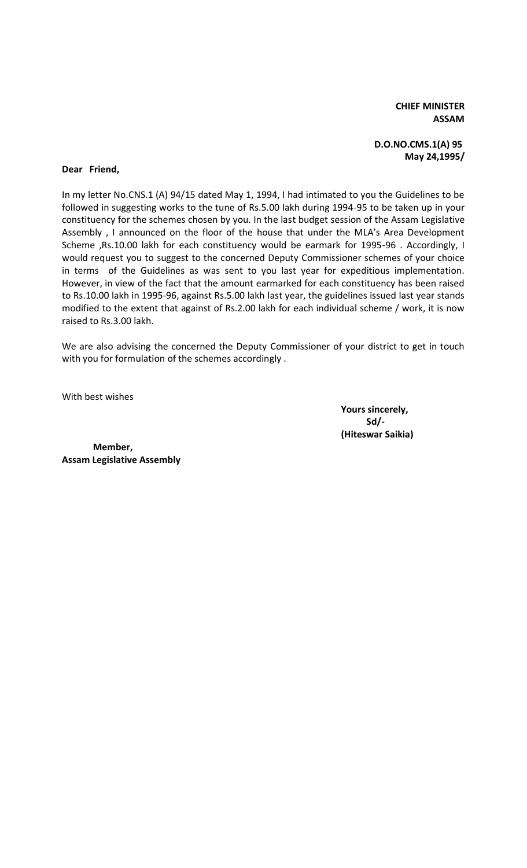**CHIEF MINISTER ASSAM**

#### **D.O.NO.CMS.1(A) 95 May 24,1995/**

#### **Dear Friend,**

In my letter No.CNS.1 (A) 94/15 dated May 1, 1994, I had intimated to you the Guidelines to be followed in suggesting works to the tune of Rs.5.00 lakh during 1994-95 to be taken up in your constituency for the schemes chosen by you. In the last budget session of the Assam Legislative Assembly , I announced on the floor of the house that under the MLA's Area Development Scheme ,Rs.10.00 lakh for each constituency would be earmark for 1995-96 . Accordingly, I would request you to suggest to the concerned Deputy Commissioner schemes of your choice in terms of the Guidelines as was sent to you last year for expeditious implementation. However, in view of the fact that the amount earmarked for each constituency has been raised to Rs.10.00 lakh in 1995-96, against Rs.5.00 lakh last year, the guidelines issued last year stands modified to the extent that against of Rs.2.00 lakh for each individual scheme / work, it is now raised to Rs.3.00 lakh.

We are also advising the concerned the Deputy Commissioner of your district to get in touch with you for formulation of the schemes accordingly .

With best wishes

**Yours sincerely, Sd/- (Hiteswar Saikia)**

**Member, Assam Legislative Assembly**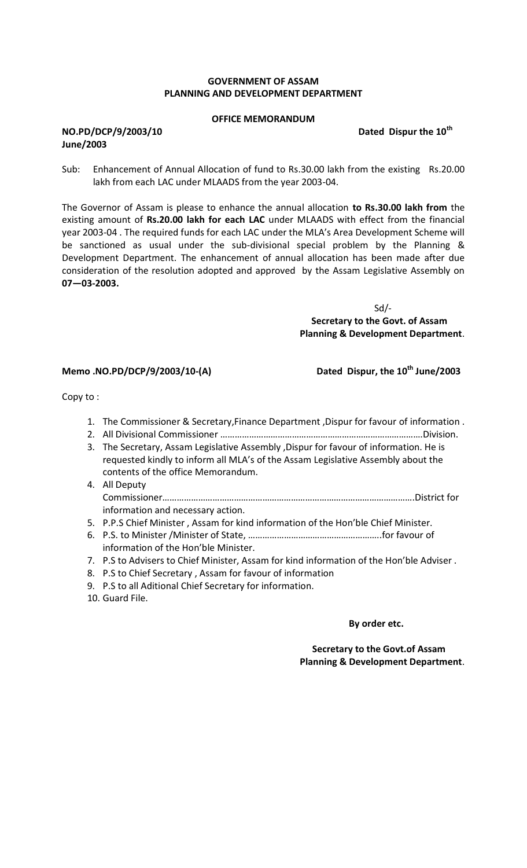#### **GOVERNMENT OF ASSAM PLANNING AND DEVELOPMENT DEPARTMENT**

#### **OFFICE MEMORANDUM**

#### **NO.PD/DCP/9/2003/10 Dated Dispur the 10th June/2003**

Sub: Enhancement of Annual Allocation of fund to Rs.30.00 lakh from the existing Rs.20.00 lakh from each LAC under MLAADS from the year 2003-04.

The Governor of Assam is please to enhance the annual allocation **to Rs.30.00 lakh from** the existing amount of **Rs.20.00 lakh for each LAC** under MLAADS with effect from the financial year 2003-04 . The required funds for each LAC under the MLA's Area Development Scheme will be sanctioned as usual under the sub-divisional special problem by the Planning & Development Department. The enhancement of annual allocation has been made after due consideration of the resolution adopted and approved by the Assam Legislative Assembly on **07—03-2003.**

> Sd/-  **Secretary to the Govt. of Assam Planning & Development Department**.

#### **Memo .NO.PD/DCP/9/2003/10-(A) Dated Dispur, the 10th June/2003**

Copy to :

- 1. The Commissioner & Secretary,Finance Department ,Dispur for favour of information .
- 2. All Divisional Commissioner ………………………………………………………………………….Division.
- 3. The Secretary, Assam Legislative Assembly ,Dispur for favour of information. He is requested kindly to inform all MLA's of the Assam Legislative Assembly about the contents of the office Memorandum.
- 4. All Deputy Commissioner…………………………………………………………………………………………….District for information and necessary action.
- 5. P.P.S Chief Minister , Assam for kind information of the Hon'ble Chief Minister.
- 6. P.S. to Minister /Minister of State, ………………………………………………..for favour of information of the Hon'ble Minister.
- 7. P.S to Advisers to Chief Minister, Assam for kind information of the Hon'ble Adviser .
- 8. P.S to Chief Secretary , Assam for favour of information
- 9. P.S to all Aditional Chief Secretary for information.
- 10. Guard File.

#### **By order etc.**

 **Secretary to the Govt.of Assam Planning & Development Department**.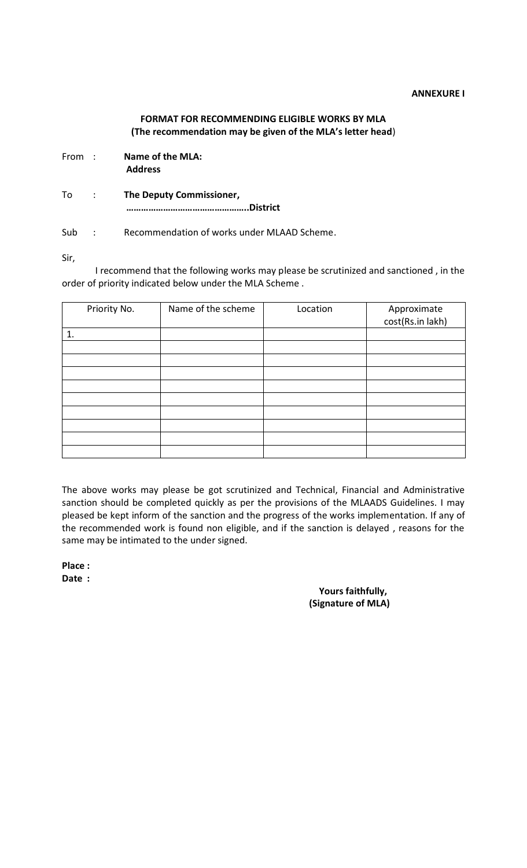#### **ANNEXURE I**

## **FORMAT FOR RECOMMENDING ELIGIBLE WORKS BY MLA (The recommendation may be given of the MLA's letter head**)

- From : **Name of the MLA: Address**
- To : **The Deputy Commissioner, …………………………………………..District**

Sub : Recommendation of works under MLAAD Scheme.

Sir,

I recommend that the following works may please be scrutinized and sanctioned , in the order of priority indicated below under the MLA Scheme .

| Priority No. | Name of the scheme | Location | Approximate<br>cost(Rs.in lakh) |
|--------------|--------------------|----------|---------------------------------|
| 1.           |                    |          |                                 |
|              |                    |          |                                 |
|              |                    |          |                                 |
|              |                    |          |                                 |
|              |                    |          |                                 |
|              |                    |          |                                 |
|              |                    |          |                                 |
|              |                    |          |                                 |
|              |                    |          |                                 |
|              |                    |          |                                 |

The above works may please be got scrutinized and Technical, Financial and Administrative sanction should be completed quickly as per the provisions of the MLAADS Guidelines. I may pleased be kept inform of the sanction and the progress of the works implementation. If any of the recommended work is found non eligible, and if the sanction is delayed , reasons for the same may be intimated to the under signed.

**Place : Date :**

 **Yours faithfully, (Signature of MLA)**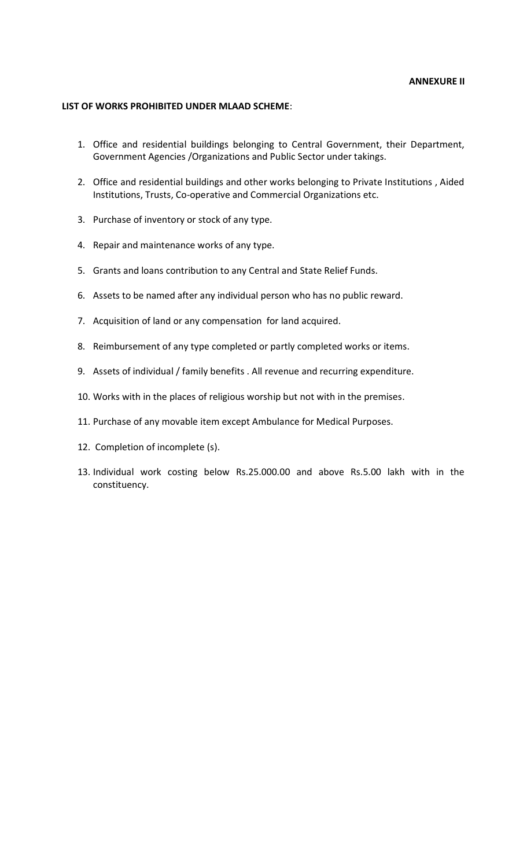#### **ANNEXURE II**

#### **LIST OF WORKS PROHIBITED UNDER MLAAD SCHEME**:

- 1. Office and residential buildings belonging to Central Government, their Department, Government Agencies /Organizations and Public Sector under takings.
- 2. Office and residential buildings and other works belonging to Private Institutions , Aided Institutions, Trusts, Co-operative and Commercial Organizations etc.
- 3. Purchase of inventory or stock of any type.
- 4. Repair and maintenance works of any type.
- 5. Grants and loans contribution to any Central and State Relief Funds.
- 6. Assets to be named after any individual person who has no public reward.
- 7. Acquisition of land or any compensation for land acquired.
- 8. Reimbursement of any type completed or partly completed works or items.
- 9. Assets of individual / family benefits . All revenue and recurring expenditure.
- 10. Works with in the places of religious worship but not with in the premises.
- 11. Purchase of any movable item except Ambulance for Medical Purposes.
- 12. Completion of incomplete (s).
- 13. Individual work costing below Rs.25.000.00 and above Rs.5.00 lakh with in the constituency.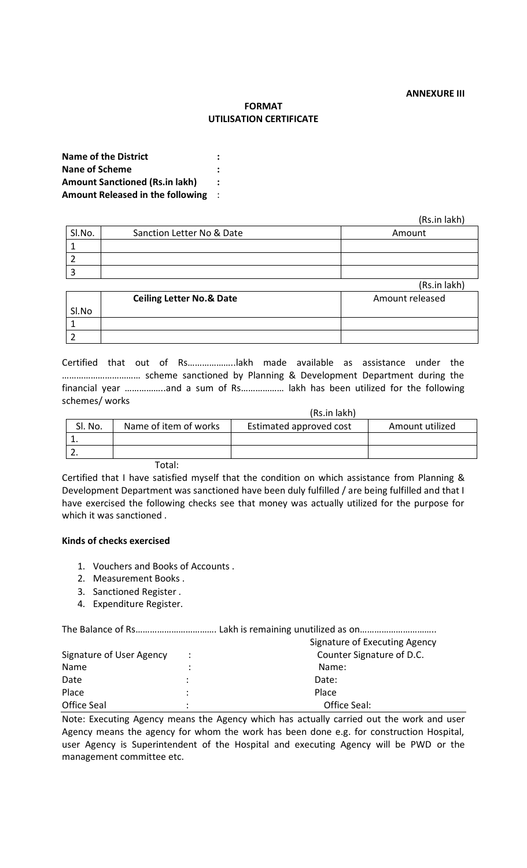#### **FORMAT UTILISATION CERTIFICATE**

**Name of the District : Nane of Scheme : Amount Sanctioned (Rs.in lakh) : Amount Released in the following** :

(Rs.in lakh)

| SI.No. | Sanction Letter No & Date | Amount       |
|--------|---------------------------|--------------|
|        |                           |              |
|        |                           |              |
|        |                           |              |
|        |                           | (Rs.in lakh) |

|       |                                     | ,,,,,,,,,,,,,,,, |
|-------|-------------------------------------|------------------|
|       | <b>Ceiling Letter No.&amp; Date</b> | Amount released  |
| SI.No |                                     |                  |
|       |                                     |                  |
|       |                                     |                  |

Certified that out of Rs………………..lakh made available as assistance under the …………………………… scheme sanctioned by Planning & Development Department during the financial year ……………..and a sum of Rs……………… lakh has been utilized for the following schemes/ works

|         |                       | (Rs.in lakh)            |                 |
|---------|-----------------------|-------------------------|-----------------|
| SI. No. | Name of item of works | Estimated approved cost | Amount utilized |
|         |                       |                         |                 |
|         |                       |                         |                 |
|         |                       |                         |                 |

Total:

Certified that I have satisfied myself that the condition on which assistance from Planning & Development Department was sanctioned have been duly fulfilled / are being fulfilled and that I have exercised the following checks see that money was actually utilized for the purpose for which it was sanctioned .

#### **Kinds of checks exercised**

- 1. Vouchers and Books of Accounts .
- 2. Measurement Books .
- 3. Sanctioned Register .
- 4. Expenditure Register.

|                          | Signature of Executing Agency |                           |  |  |
|--------------------------|-------------------------------|---------------------------|--|--|
| Signature of User Agency |                               | Counter Signature of D.C. |  |  |
| Name                     |                               | Name:                     |  |  |
| Date                     |                               | Date:                     |  |  |
| Place                    |                               | Place                     |  |  |
| Office Seal              | ٠                             | Office Seal:              |  |  |

Note: Executing Agency means the Agency which has actually carried out the work and user Agency means the agency for whom the work has been done e.g. for construction Hospital, user Agency is Superintendent of the Hospital and executing Agency will be PWD or the management committee etc.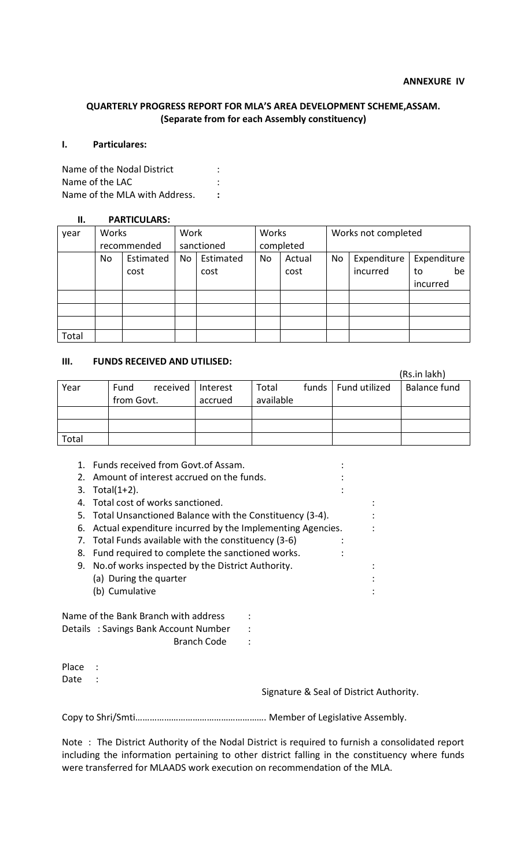### **QUARTERLY PROGRESS REPORT FOR MLA'S AREA DEVELOPMENT SCHEME,ASSAM. (Separate from for each Assembly constituency)**

#### **I. Particulares:**

Name of the Nodal District : Name of the LAC in the set of the LAC in the set of the LAC in the set of the set of the set of the set of the  $\sim$ Name of the MLA with Address. **:**

#### **II. PARTICULARS:**

| year  | Works       |           | Work       |           | Works     |        | Works not completed |             |             |
|-------|-------------|-----------|------------|-----------|-----------|--------|---------------------|-------------|-------------|
|       | recommended |           | sanctioned |           | completed |        |                     |             |             |
|       | No          | Estimated | No         | Estimated | No        | Actual | <b>No</b>           | Expenditure | Expenditure |
|       |             | cost      |            | cost      |           | cost   |                     | incurred    | be<br>to    |
|       |             |           |            |           |           |        |                     |             | incurred    |
|       |             |           |            |           |           |        |                     |             |             |
|       |             |           |            |           |           |        |                     |             |             |
|       |             |           |            |           |           |        |                     |             |             |
| Total |             |           |            |           |           |        |                     |             |             |

# **III. FUNDS RECEIVED AND UTILISED:**

|       |                  |          |           |                       | (Rs.in lakh)        |
|-------|------------------|----------|-----------|-----------------------|---------------------|
| Year  | Fund<br>received | Interest | Total     | funds   Fund utilized | <b>Balance fund</b> |
|       | from Govt.       | accrued  | available |                       |                     |
|       |                  |          |           |                       |                     |
|       |                  |          |           |                       |                     |
| Total |                  |          |           |                       |                     |

| 1.                                                      | Funds received from Govt.of Assam.                         |  |
|---------------------------------------------------------|------------------------------------------------------------|--|
| $2_{1}$                                                 | Amount of interest accrued on the funds.                   |  |
| 3.                                                      | Total $(1+2)$ .                                            |  |
| 4.                                                      | Total cost of works sanctioned.                            |  |
|                                                         | 5. Total Unsanctioned Balance with the Constituency (3-4). |  |
| 6.                                                      | Actual expenditure incurred by the Implementing Agencies.  |  |
| 7.                                                      | Total Funds available with the constituency (3-6)          |  |
| 8.                                                      | Fund required to complete the sanctioned works.            |  |
| No. of works inspected by the District Authority.<br>9. |                                                            |  |
|                                                         | (a) During the quarter                                     |  |
|                                                         | (b) Cumulative                                             |  |
|                                                         | Name of the Bank Branch with address                       |  |
|                                                         | Details: Savings Bank Account Number                       |  |
|                                                         | <b>Branch Code</b>                                         |  |
| Place                                                   |                                                            |  |

Date :

Signature & Seal of District Authority.

Copy to Shri/Smti………………………………………………. Member of Legislative Assembly.

Note : The District Authority of the Nodal District is required to furnish a consolidated report including the information pertaining to other district falling in the constituency where funds were transferred for MLAADS work execution on recommendation of the MLA.